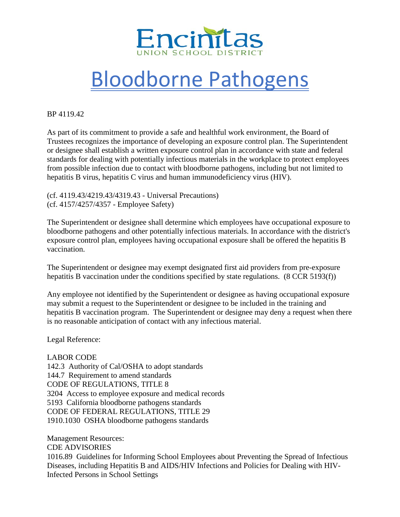

## Bloodborne Pathogens

BP 4119.42

As part of its commitment to provide a safe and healthful work environment, the Board of Trustees recognizes the importance of developing an exposure control plan. The Superintendent or designee shall establish a written exposure control plan in accordance with state and federal standards for dealing with potentially infectious materials in the workplace to protect employees from possible infection due to contact with bloodborne pathogens, including but not limited to hepatitis B virus, hepatitis C virus and human immunodeficiency virus (HIV).

(cf. 4119.43/4219.43/4319.43 - Universal Precautions) (cf. 4157/4257/4357 - Employee Safety)

The Superintendent or designee shall determine which employees have occupational exposure to bloodborne pathogens and other potentially infectious materials. In accordance with the district's exposure control plan, employees having occupational exposure shall be offered the hepatitis B vaccination.

The Superintendent or designee may exempt designated first aid providers from pre-exposure hepatitis B vaccination under the conditions specified by state regulations. (8 CCR 5193(f))

Any employee not identified by the Superintendent or designee as having occupational exposure may submit a request to the Superintendent or designee to be included in the training and hepatitis B vaccination program. The Superintendent or designee may deny a request when there is no reasonable anticipation of contact with any infectious material.

Legal Reference:

LABOR CODE 142.3 Authority of Cal/OSHA to adopt standards 144.7 Requirement to amend standards CODE OF REGULATIONS, TITLE 8 3204 Access to employee exposure and medical records 5193 California bloodborne pathogens standards CODE OF FEDERAL REGULATIONS, TITLE 29 1910.1030 OSHA bloodborne pathogens standards

Management Resources: CDE ADVISORIES 1016.89 Guidelines for Informing School Employees about Preventing the Spread of Infectious Diseases, including Hepatitis B and AIDS/HIV Infections and Policies for Dealing with HIV-Infected Persons in School Settings